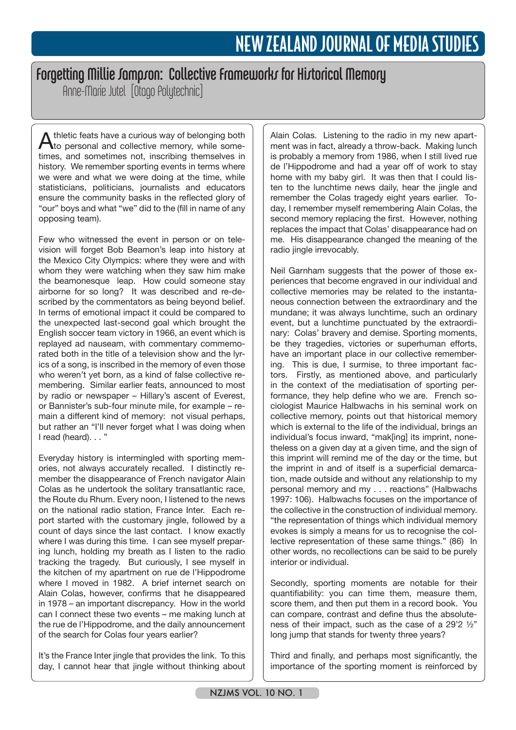## Forgetting Millie Sampson: Collective Frameworks for Historical Memory

Anne-Marie Jutel [Otago Polytechnic]

Athletic feats have a curious way of belonging both to personal and collective memory, while sometimes, and sometimes not, inscribing themselves in history. We remember sporting events in terms where we were and what we were doing at the time, while statisticians, politicians, journalists and educators ensure the community basks in the reflected glory of "our" boys and what "we" did to the (fill in name of any opposing team).

Few who witnessed the event in person or on television will forget Bob Beamon's leap into history at the Mexico City Olympics: where they were and with whom they were watching when they saw him make the beamonesque leap. How could someone stay airborne for so long? It was described and re-described by the commentators as being beyond belief. In terms of emotional impact it could be compared to the unexpected last-second goal which brought the English soccer team victory in 1966, an event which is replayed ad nauseam, with commentary commemorated both in the title of a television show and the lyrics of a song, is inscribed in the memory of even those who weren't yet born, as a kind of false collective remembering. Similar earlier feats, announced to most by radio or newspaper – Hillary's ascent of Everest, or Bannister's sub-four minute mile, for example – remain a different kind of memory: not visual perhaps, but rather an "I'll never forget what I was doing when I read (heard). . . "

Everyday history is intermingled with sporting memories, not always accurately recalled. I distinctly remember the disappearance of French navigator Alain Colas as he undertook the solitary transatlantic race, the Route du Rhum. Every noon, I listened to the news on the national radio station, France Inter. Each report started with the customary jingle, followed by a count of days since the last contact. I know exactly where I was during this time. I can see myself preparing lunch, holding my breath as I listen to the radio tracking the tragedy. But curiously, I see myself in the kitchen of my apartment on rue de l'Hippodrome where I moved in 1982. A brief internet search on Alain Colas, however, confirms that he disappeared in 1978 – an important discrepancy. How in the world can I connect these two events – me making lunch at the rue de l'Hippodrome, and the daily announcement of the search for Colas four years earlier?

It's the France Inter jingle that provides the link. To this day, I cannot hear that jingle without thinking about

Alain Colas. Listening to the radio in my new apartment was in fact, already a throw-back. Making lunch is probably a memory from 1986, when I still lived rue de l'Hippodrome and had a year off of work to stay home with my baby girl. It was then that I could listen to the lunchtime news daily, hear the jingle and remember the Colas tragedy eight years earlier. Today, I remember myself remembering Alain Colas, the second memory replacing the first. However, nothing replaces the impact that Colas' disappearance had on me. His disappearance changed the meaning of the radio jingle irrevocably.

Neil Garnham suggests that the power of those experiences that become engraved in our individual and collective memories may be related to the instantaneous connection between the extraordinary and the mundane; it was always lunchtime, such an ordinary event, but a lunchtime punctuated by the extraordinary: Colas' bravery and demise. Sporting moments, be they tragedies, victories or superhuman efforts, have an important place in our collective remembering. This is due, I surmise, to three important factors. Firstly, as mentioned above, and particularly in the context of the mediatisation of sporting performance, they help define who we are. French sociologist Maurice Halbwachs in his seminal work on collective memory, points out that historical memory which is external to the life of the individual, brings an individual's focus inward, "mak[ing] its imprint, nonetheless on a given day at a given time, and the sign of this imprint will remind me of the day or the time, but the imprint in and of itself is a superficial demarcation, made outside and without any relationship to my personal memory and my . . . reactions" (Halbwachs 1997: 106). Halbwachs focuses on the importance of the collective in the construction of individual memory. "the representation of things which individual memory evokes is simply a means for us to recognise the collective representation of these same things." (86) In other words, no recollections can be said to be purely interior or individual.

Secondly, sporting moments are notable for their quantifiability: you can time them, measure them, score them, and then put them in a record book. You can compare, contrast and define thus the absoluteness of their impact, such as the case of a 29'2 ½" long jump that stands for twenty three years?

Third and finally, and perhaps most significantly, the importance of the sporting moment is reinforced by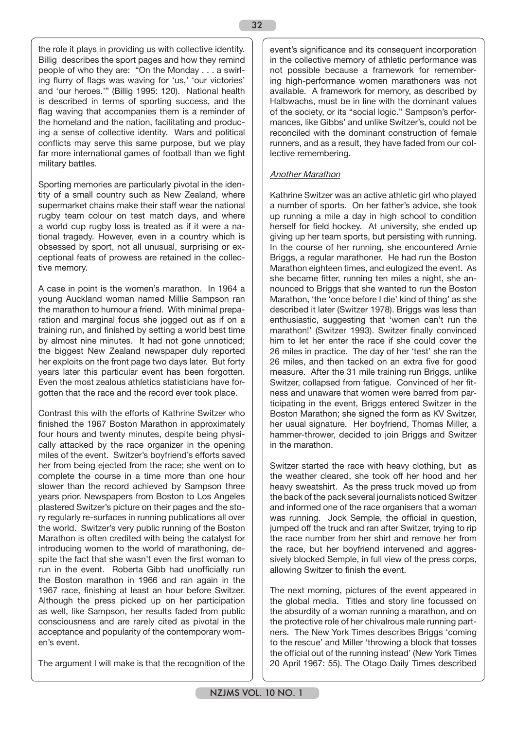the role it plays in providing us with collective identity. Billig describes the sport pages and how they remind people of who they are: "On the Monday . . . a swirling flurry of flags was waving for 'us,' 'our victories' and 'our heroes.'" (Billig 1995: 120). National health is described in terms of sporting success, and the flag waving that accompanies them is a reminder of the homeland and the nation, facilitating and producing a sense of collective identity. Wars and political conflicts may serve this same purpose, but we play far more international games of football than we fight military battles.

Sporting memories are particularly pivotal in the identity of a small country such as New Zealand, where supermarket chains make their staff wear the national rugby team colour on test match days, and where a world cup rugby loss is treated as if it were a national tragedy. However, even in a country which is obsessed by sport, not all unusual, surprising or exceptional feats of prowess are retained in the collective memory.

A case in point is the women's marathon. In 1964 a young Auckland woman named Millie Sampson ran the marathon to humour a friend. With minimal preparation and marginal focus she jogged out as if on a training run, and finished by setting a world best time by almost nine minutes. It had not gone unnoticed; the biggest New Zealand newspaper duly reported her exploits on the front page two days later. But forty years later this particular event has been forgotten. Even the most zealous athletics statisticians have forgotten that the race and the record ever took place.

Contrast this with the efforts of Kathrine Switzer who finished the 1967 Boston Marathon in approximately four hours and twenty minutes, despite being physically attacked by the race organizer in the opening miles of the event. Switzer's boyfriend's efforts saved her from being ejected from the race; she went on to complete the course in a time more than one hour slower than the record achieved by Sampson three years prior. Newspapers from Boston to Los Angeles plastered Switzer's picture on their pages and the story regularly re-surfaces in running publications all over the world. Switzer's very public running of the Boston Marathon is often credited with being the catalyst for introducing women to the world of marathoning, despite the fact that she wasn't even the first woman to run in the event. Roberta Gibb had unofficially run the Boston marathon in 1966 and ran again in the 1967 race, finishing at least an hour before Switzer. Although the press picked up on her participation as well, like Sampson, her results faded from public consciousness and are rarely cited as pivotal in the acceptance and popularity of the contemporary women's event.

The argument I will make is that the recognition of the

event's significance and its consequent incorporation in the collective memory of athletic performance was not possible because a framework for remembering high-performance women marathoners was not available. A framework for memory, as described by Halbwachs, must be in line with the dominant values of the society, or its "social logic." Sampson's performances, like Gibbs' and unlike Switzer's, could not be reconciled with the dominant construction of female runners, and as a result, they have faded from our collective remembering.

## Another Marathon

Kathrine Switzer was an active athletic girl who played a number of sports. On her father's advice, she took up running a mile a day in high school to condition herself for field hockey. At university, she ended up giving up her team sports, but persisting with running. In the course of her running, she encountered Arnie Briggs, a regular marathoner. He had run the Boston Marathon eighteen times, and eulogized the event. As she became fitter, running ten miles a night, she announced to Briggs that she wanted to run the Boston Marathon, 'the 'once before I die' kind of thing' as she described it later (Switzer 1978). Briggs was less than enthusiastic, suggesting that 'women can't run the marathon!' (Switzer 1993). Switzer finally convinced him to let her enter the race if she could cover the 26 miles in practice. The day of her 'test' she ran the 26 miles, and then tacked on an extra five for good measure. After the 31 mile training run Briggs, unlike Switzer, collapsed from fatigue. Convinced of her fitness and unaware that women were barred from participating in the event, Briggs entered Switzer in the Boston Marathon; she signed the form as KV Switzer, her usual signature. Her boyfriend, Thomas Miller, a hammer-thrower, decided to join Briggs and Switzer in the marathon.

Switzer started the race with heavy clothing, but as the weather cleared, she took off her hood and her heavy sweatshirt. As the press truck moved up from the back of the pack several journalists noticed Switzer and informed one of the race organisers that a woman was running. Jock Semple, the official in question, jumped off the truck and ran after Switzer, trying to rip the race number from her shirt and remove her from the race, but her boyfriend intervened and aggressively blocked Semple, in full view of the press corps, allowing Switzer to finish the event.

The next morning, pictures of the event appeared in the global media. Titles and story line focussed on the absurdity of a woman running a marathon, and on the protective role of her chivalrous male running partners. The New York Times describes Briggs 'coming to the rescue' and Miller 'throwing a block that tosses the official out of the running instead' (New York Times 20 April 1967: 55). The Otago Daily Times described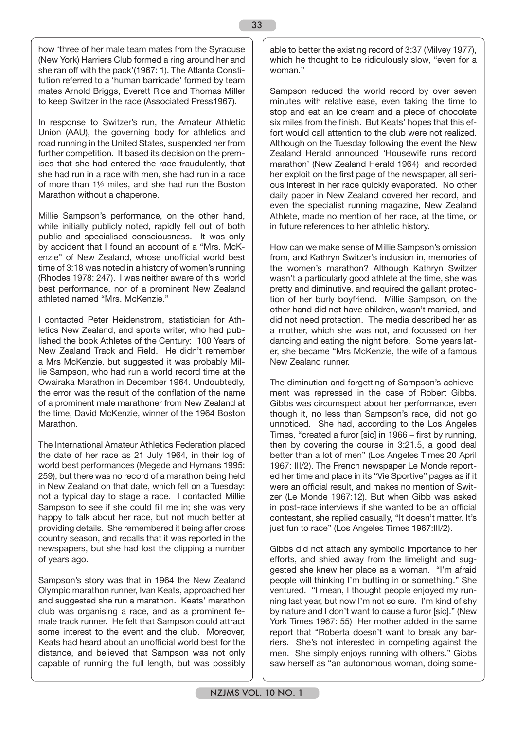how 'three of her male team mates from the Syracuse (New York) Harriers Club formed a ring around her and she ran off with the pack'(1967: 1). The Atlanta Constitution referred to a 'human barricade' formed by team mates Arnold Briggs, Everett Rice and Thomas Miller to keep Switzer in the race (Associated Press1967).

In response to Switzer's run, the Amateur Athletic Union (AAU), the governing body for athletics and road running in the United States, suspended her from further competition. It based its decision on the premises that she had entered the race fraudulently, that she had run in a race with men, she had run in a race of more than 1½ miles, and she had run the Boston Marathon without a chaperone.

Millie Sampson's performance, on the other hand, while initially publicly noted, rapidly fell out of both public and specialised consciousness. It was only by accident that I found an account of a "Mrs. McKenzie" of New Zealand, whose unofficial world best time of 3:18 was noted in a history of women's running (Rhodes 1978: 247). I was neither aware of this world best performance, nor of a prominent New Zealand athleted named "Mrs. McKenzie."

I contacted Peter Heidenstrom, statistician for Athletics New Zealand, and sports writer, who had published the book Athletes of the Century: 100 Years of New Zealand Track and Field. He didn't remember a Mrs McKenzie, but suggested it was probably Millie Sampson, who had run a world record time at the Owairaka Marathon in December 1964. Undoubtedly, the error was the result of the conflation of the name of a prominent male marathoner from New Zealand at the time, David McKenzie, winner of the 1964 Boston **Marathon** 

The International Amateur Athletics Federation placed the date of her race as 21 July 1964, in their log of world best performances (Megede and Hymans 1995: 259), but there was no record of a marathon being held in New Zealand on that date, which fell on a Tuesday: not a typical day to stage a race. I contacted Millie Sampson to see if she could fill me in; she was very happy to talk about her race, but not much better at providing details. She remembered it being after cross country season, and recalls that it was reported in the newspapers, but she had lost the clipping a number of years ago.

Sampson's story was that in 1964 the New Zealand Olympic marathon runner, Ivan Keats, approached her and suggested she run a marathon. Keats' marathon club was organising a race, and as a prominent female track runner. He felt that Sampson could attract some interest to the event and the club. Moreover, Keats had heard about an unofficial world best for the distance, and believed that Sampson was not only capable of running the full length, but was possibly able to better the existing record of 3:37 (Milvey 1977), which he thought to be ridiculously slow, "even for a woman."

Sampson reduced the world record by over seven minutes with relative ease, even taking the time to stop and eat an ice cream and a piece of chocolate six miles from the finish. But Keats' hopes that this effort would call attention to the club were not realized. Although on the Tuesday following the event the New Zealand Herald announced 'Housewife runs record marathon' (New Zealand Herald 1964) and recorded her exploit on the first page of the newspaper, all serious interest in her race quickly evaporated. No other daily paper in New Zealand covered her record, and even the specialist running magazine, New Zealand Athlete, made no mention of her race, at the time, or in future references to her athletic history.

How can we make sense of Millie Sampson's omission from, and Kathryn Switzer's inclusion in, memories of the women's marathon? Although Kathryn Switzer wasn't a particularly good athlete at the time, she was pretty and diminutive, and required the gallant protection of her burly boyfriend. Millie Sampson, on the other hand did not have children, wasn't married, and did not need protection. The media described her as a mother, which she was not, and focussed on her dancing and eating the night before. Some years later, she became "Mrs McKenzie, the wife of a famous New Zealand runner.

The diminution and forgetting of Sampson's achievement was repressed in the case of Robert Gibbs. Gibbs was circumspect about her performance, even though it, no less than Sampson's race, did not go unnoticed. She had, according to the Los Angeles Times, "created a furor [sic] in 1966 – first by running, then by covering the course in 3:21.5, a good deal better than a lot of men" (Los Angeles Times 20 April 1967: III/2). The French newspaper Le Monde reported her time and place in its "Vie Sportive" pages as if it were an official result, and makes no mention of Switzer (Le Monde 1967:12). But when Gibb was asked in post-race interviews if she wanted to be an official contestant, she replied casually, "It doesn't matter. It's just fun to race" (Los Angeles Times 1967:III/2).

Gibbs did not attach any symbolic importance to her efforts, and shied away from the limelight and suggested she knew her place as a woman. "I'm afraid people will thinking I'm butting in or something." She ventured. "I mean, I thought people enjoyed my running last year, but now I'm not so sure. I'm kind of shy by nature and I don't want to cause a furor [sic]." (New York Times 1967: 55) Her mother added in the same report that "Roberta doesn't want to break any barriers. She's not interested in competing against the men. She simply enjoys running with others." Gibbs saw herself as "an autonomous woman, doing some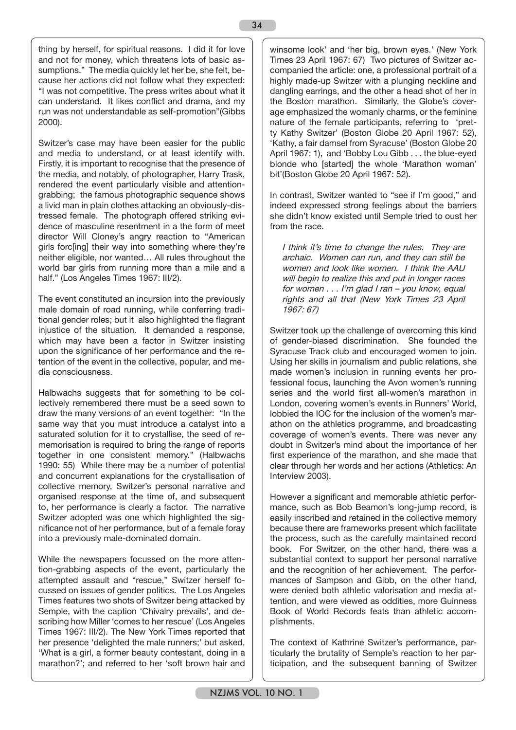thing by herself, for spiritual reasons. I did it for love and not for money, which threatens lots of basic assumptions." The media quickly let her be, she felt, because her actions did not follow what they expected: "I was not competitive. The press writes about what it can understand. It likes conflict and drama, and my run was not understandable as self-promotion"(Gibbs 2000).

Switzer's case may have been easier for the public and media to understand, or at least identify with. Firstly, it is important to recognise that the presence of the media, and notably, of photographer, Harry Trask, rendered the event particularly visible and attentiongrabbing; the famous photographic sequence shows a livid man in plain clothes attacking an obviously-distressed female. The photograph offered striking evidence of masculine resentment in a the form of meet director Will Cloney's angry reaction to "American girls forc[ing] their way into something where they're neither eligible, nor wanted… All rules throughout the world bar girls from running more than a mile and a half." (Los Angeles Times 1967: III/2).

The event constituted an incursion into the previously male domain of road running, while conferring traditional gender roles; but it also highlighted the flagrant injustice of the situation. It demanded a response, which may have been a factor in Switzer insisting upon the significance of her performance and the retention of the event in the collective, popular, and media consciousness.

Halbwachs suggests that for something to be collectively remembered there must be a seed sown to draw the many versions of an event together: "In the same way that you must introduce a catalyst into a saturated solution for it to crystallise, the seed of rememorisation is required to bring the range of reports together in one consistent memory." (Halbwachs 1990: 55) While there may be a number of potential and concurrent explanations for the crystallisation of collective memory, Switzer's personal narrative and organised response at the time of, and subsequent to, her performance is clearly a factor. The narrative Switzer adopted was one which highlighted the significance not of her performance, but of a female foray into a previously male-dominated domain.

While the newspapers focussed on the more attention-grabbing aspects of the event, particularly the attempted assault and "rescue," Switzer herself focussed on issues of gender politics. The Los Angeles Times features two shots of Switzer being attacked by Semple, with the caption 'Chivalry prevails', and describing how Miller 'comes to her rescue' (Los Angeles Times 1967: III/2). The New York Times reported that her presence 'delighted the male runners;' but asked, 'What is a girl, a former beauty contestant, doing in a marathon?'; and referred to her 'soft brown hair and winsome look' and 'her big, brown eyes.' (New York Times 23 April 1967: 67) Two pictures of Switzer accompanied the article: one, a professional portrait of a highly made-up Switzer with a plunging neckline and dangling earrings, and the other a head shot of her in the Boston marathon. Similarly, the Globe's coverage emphasized the womanly charms, or the feminine nature of the female participants, referring to 'pretty Kathy Switzer' (Boston Globe 20 April 1967: 52), 'Kathy, a fair damsel from Syracuse' (Boston Globe 20 April 1967: 1), and 'Bobby Lou Gibb . . . the blue-eyed blonde who [started] the whole 'Marathon woman' bit'(Boston Globe 20 April 1967: 52).

In contrast, Switzer wanted to "see if I'm good," and indeed expressed strong feelings about the barriers she didn't know existed until Semple tried to oust her from the race.

I think it's time to change the rules. They are archaic. Women can run, and they can still be women and look like women. I think the AAU will begin to realize this and put in longer races for women . . . I'm glad I ran – you know, equal rights and all that (New York Times 23 April 1967: 67)

Switzer took up the challenge of overcoming this kind of gender-biased discrimination. She founded the Syracuse Track club and encouraged women to join. Using her skills in journalism and public relations, she made women's inclusion in running events her professional focus, launching the Avon women's running series and the world first all-women's marathon in London, covering women's events in Runners' World, lobbied the IOC for the inclusion of the women's marathon on the athletics programme, and broadcasting coverage of women's events. There was never any doubt in Switzer's mind about the importance of her first experience of the marathon, and she made that clear through her words and her actions (Athletics: An Interview 2003).

However a significant and memorable athletic performance, such as Bob Beamon's long-jump record, is easily inscribed and retained in the collective memory because there are frameworks present which facilitate the process, such as the carefully maintained record book. For Switzer, on the other hand, there was a substantial context to support her personal narrative and the recognition of her achievement. The performances of Sampson and Gibb, on the other hand, were denied both athletic valorisation and media attention, and were viewed as oddities, more Guinness Book of World Records feats than athletic accomplishments.

The context of Kathrine Switzer's performance, particularly the brutality of Semple's reaction to her participation, and the subsequent banning of Switzer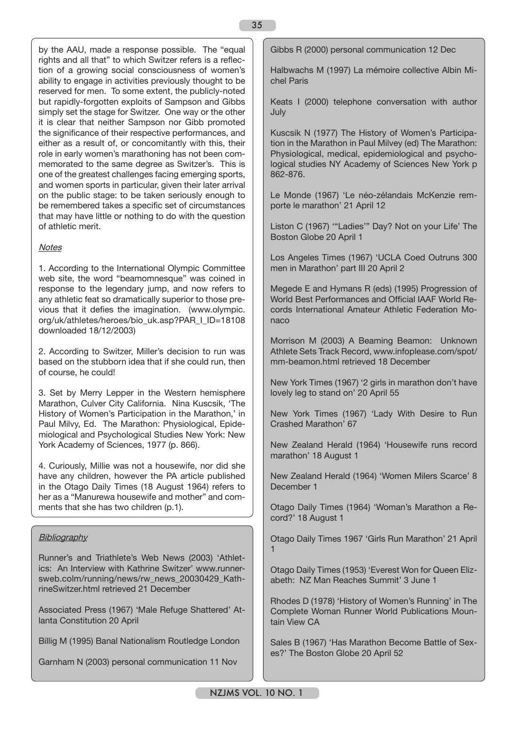by the AAU, made a response possible. The "equal rights and all that" to which Switzer refers is a reflection of a growing social consciousness of women's ability to engage in activities previously thought to be reserved for men. To some extent, the publicly-noted but rapidly-forgotten exploits of Sampson and Gibbs simply set the stage for Switzer. One way or the other it is clear that neither Sampson nor Gibb promoted the significance of their respective performances, and either as a result of, or concomitantly with this, their role in early women's marathoning has not been commemorated to the same degree as Switzer's. This is one of the greatest challenges facing emerging sports, and women sports in particular, given their later arrival on the public stage: to be taken seriously enough to be remembered takes a specific set of circumstances that may have little or nothing to do with the question of athletic merit.

## **Notes**

1. According to the International Olympic Committee web site, the word "beamomnesque" was coined in response to the legendary jump, and now refers to any athletic feat so dramatically superior to those previous that it defies the imagination. (www.olympic. org/uk/athletes/heroes/bio\_uk.asp?PAR\_I\_ID=18108 downloaded 18/12/2003)

2. According to Switzer, Miller's decision to run was based on the stubborn idea that if she could run, then of course, he could!

3. Set by Merry Lepper in the Western hemisphere Marathon, Culver City California. Nina Kuscsik, 'The History of Women's Participation in the Marathon,' in Paul Milvy, Ed. The Marathon: Physiological, Epidemiological and Psychological Studies New York: New York Academy of Sciences, 1977 (p. 866).

4. Curiously, Millie was not a housewife, nor did she have any children, however the PA article published in the Otago Daily Times (18 August 1964) refers to her as a "Manurewa housewife and mother" and comments that she has two children (p.1).

## **Bibliography**

Runner's and Triathlete's Web News (2003) 'Athletics: An Interview with Kathrine Switzer' www.runnersweb.colm/running/news/rw\_news\_20030429\_KathrineSwitzer.html retrieved 21 December

Associated Press (1967) 'Male Refuge Shattered' Atlanta Constitution 20 April

Billig M (1995) Banal Nationalism Routledge London

Garnham N (2003) personal communication 11 Nov

Gibbs R (2000) personal communication 12 Dec

Halbwachs M (1997) La mémoire collective Albin Michel Paris

Keats I (2000) telephone conversation with author July

Kuscsik N (1977) The History of Women's Participation in the Marathon in Paul Milvey (ed) The Marathon: Physiological, medical, epidemiological and psychological studies NY Academy of Sciences New York p 862-876.

Le Monde (1967) 'Le néo-zélandais McKenzie remporte le marathon' 21 April 12

Liston C (1967) '"Ladies'" Day? Not on your Life' The Boston Globe 20 April 1

Los Angeles Times (1967) 'UCLA Coed Outruns 300 men in Marathon' part III 20 April 2

Megede E and Hymans R (eds) (1995) Progression of World Best Performances and Official IAAF World Records International Amateur Athletic Federation Monaco

Morrison M (2003) A Beaming Beamon: Unknown Athlete Sets Track Record, www.infoplease.com/spot/ mm-beamon.html retrieved 18 December

New York Times (1967) '2 girls in marathon don't have lovely leg to stand on' 20 April 55

New York Times (1967) 'Lady With Desire to Run Crashed Marathon' 67

New Zealand Herald (1964) 'Housewife runs record marathon' 18 August 1

New Zealand Herald (1964) 'Women Milers Scarce' 8 December 1

Otago Daily Times (1964) 'Woman's Marathon a Record?' 18 August 1

Otago Daily Times 1967 'Girls Run Marathon' 21 April 1

Otago Daily Times (1953) 'Everest Won for Queen Elizabeth: NZ Man Reaches Summit' 3 June 1

Rhodes D (1978) 'History of Women's Running' in The Complete Woman Runner World Publications Mountain View CA

Sales B (1967) 'Has Marathon Become Battle of Sexes?' The Boston Globe 20 April 52